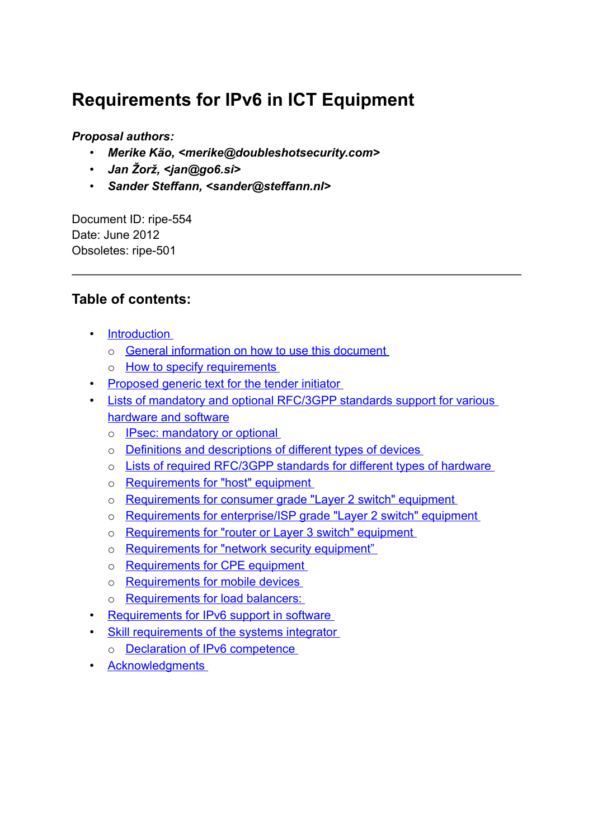# **Requirements for IPv6 in ICT Equipment**

#### *Proposal authors:*

- *Merike Käo, <merike@doubleshotsecurity.com>*
- *Jan Žorž, <jan@go6.si>*
- *Sander Steffann, <sander@steffann.nl>*

Document ID: ripe-554 Date: June 2012 Obsoletes: ripe-501

#### **Table of contents:**

- • [Introduction](#page-1-0)
	- o [General information on how to use this document](#page-1-1)
	- o **[How to specify requirements](#page-2-0)**
- • [Proposed generic text for the tender initiator](#page-3-2)
- [Lists of mandatory and optional RFC/3GPP standards support for various](#page-3-1) [hardware and software](#page-3-1)
	- o [IPsec: mandatory or optional](#page-3-0)
	- o [Definitions and descriptions of different types of devices](#page-4-0)
	- o [Lists of required RFC/3GPP standards for different types of hardware](#page-5-0)
	- o [Requirements for "host" equipment](#page-6-0)
	- o [Requirements for consumer grade "Layer 2 switch" equipment](#page-7-1)
	- o [Requirements for enterprise/ISP grade "Layer 2 switch" equipment](#page-7-0)
	- o [Requirements for "router or Layer 3 switch" equipment](#page-8-0)
	- o [Requirements for "network security equipment"](#page-9-0)
	- o [Requirements for CPE equipment](#page-11-0)
	- o [Requirements for mobile devices](#page-12-0)
	- o [Requirements for load balancers:](#page-14-0)
- **Requirements for IPv6 support in software**
- [Skill requirements of the systems integrator](#page-15-1)
	- o [Declaration of IPv6 competence](#page-16-0)
- • [Acknowledgments](#page-17-0)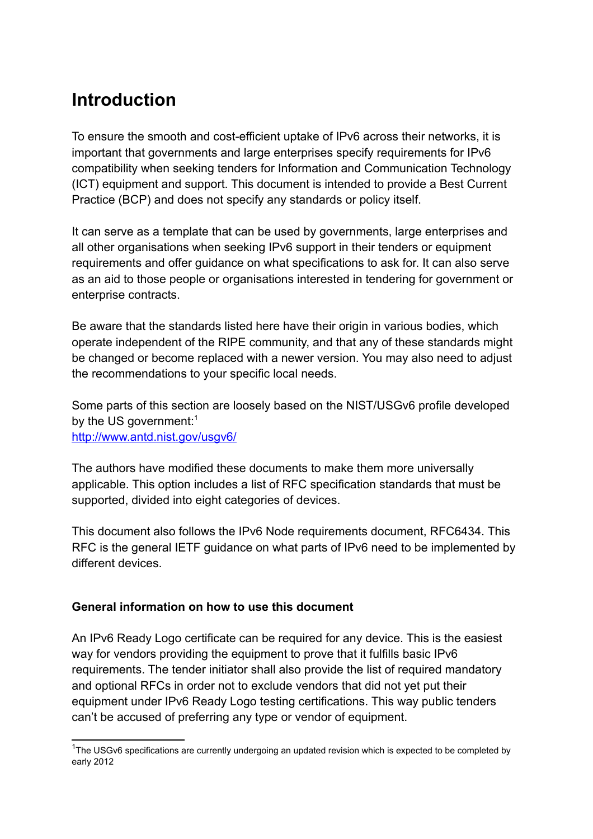## <span id="page-1-0"></span>**Introduction**

To ensure the smooth and cost-efficient uptake of IPv6 across their networks, it is important that governments and large enterprises specify requirements for IPv6 compatibility when seeking tenders for Information and Communication Technology (ICT) equipment and support. This document is intended to provide a Best Current Practice (BCP) and does not specify any standards or policy itself.

It can serve as a template that can be used by governments, large enterprises and all other organisations when seeking IPv6 support in their tenders or equipment requirements and offer guidance on what specifications to ask for. It can also serve as an aid to those people or organisations interested in tendering for government or enterprise contracts.

Be aware that the standards listed here have their origin in various bodies, which operate independent of the RIPE community, and that any of these standards might be changed or become replaced with a newer version. You may also need to adjust the recommendations to your specific local needs.

Some parts of this section are loosely based on the NIST/USGv6 profile developed by the US government:<sup>[1](#page-1-2)</sup> <http://www.antd.nist.gov/usgv6/>

The authors have modified these documents to make them more universally applicable. This option includes a list of RFC specification standards that must be supported, divided into eight categories of devices.

This document also follows the IPv6 Node requirements document, RFC6434. This RFC is the general IETF guidance on what parts of IPv6 need to be implemented by different devices.

#### <span id="page-1-1"></span>**General information on how to use this document**

An IPv6 Ready Logo certificate can be required for any device. This is the easiest way for vendors providing the equipment to prove that it fulfills basic IPv6 requirements. The tender initiator shall also provide the list of required mandatory and optional RFCs in order not to exclude vendors that did not yet put their equipment under IPv6 Ready Logo testing certifications. This way public tenders can't be accused of preferring any type or vendor of equipment.

<span id="page-1-2"></span><sup>&</sup>lt;sup>1</sup>The USGv6 specifications are currently undergoing an updated revision which is expected to be completed by early 2012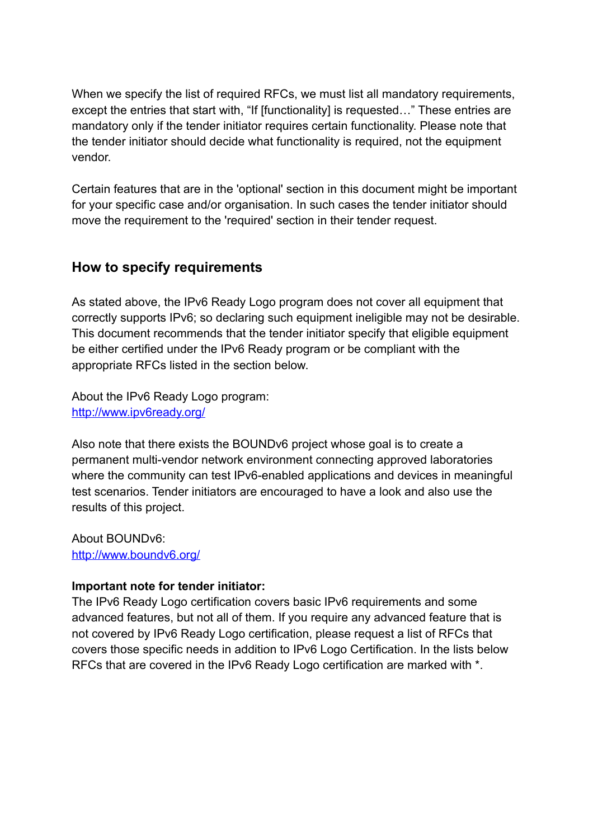When we specify the list of required RFCs, we must list all mandatory requirements, except the entries that start with, "If [functionality] is requested..." These entries are mandatory only if the tender initiator requires certain functionality. Please note that the tender initiator should decide what functionality is required, not the equipment vendor.

Certain features that are in the 'optional' section in this document might be important for your specific case and/or organisation. In such cases the tender initiator should move the requirement to the 'required' section in their tender request.

#### <span id="page-2-0"></span>**How to specify requirements**

As stated above, the IPv6 Ready Logo program does not cover all equipment that correctly supports IPv6; so declaring such equipment ineligible may not be desirable. This document recommends that the tender initiator specify that eligible equipment be either certified under the IPv6 Ready program or be compliant with the appropriate RFCs listed in the section below.

About the IPv6 Ready Logo program: <http://www.ipv6ready.org/>

Also note that there exists the BOUNDv6 project whose goal is to create a permanent multi-vendor network environment connecting approved laboratories where the community can test IPv6-enabled applications and devices in meaningful test scenarios. Tender initiators are encouraged to have a look and also use the results of this project.

About BOUNDv6: <http://www.boundv6.org/>

#### **Important note for tender initiator:**

The IPv6 Ready Logo certification covers basic IPv6 requirements and some advanced features, but not all of them. If you require any advanced feature that is not covered by IPv6 Ready Logo certification, please request a list of RFCs that covers those specific needs in addition to IPv6 Logo Certification. In the lists below RFCs that are covered in the IPv6 Ready Logo certification are marked with \*.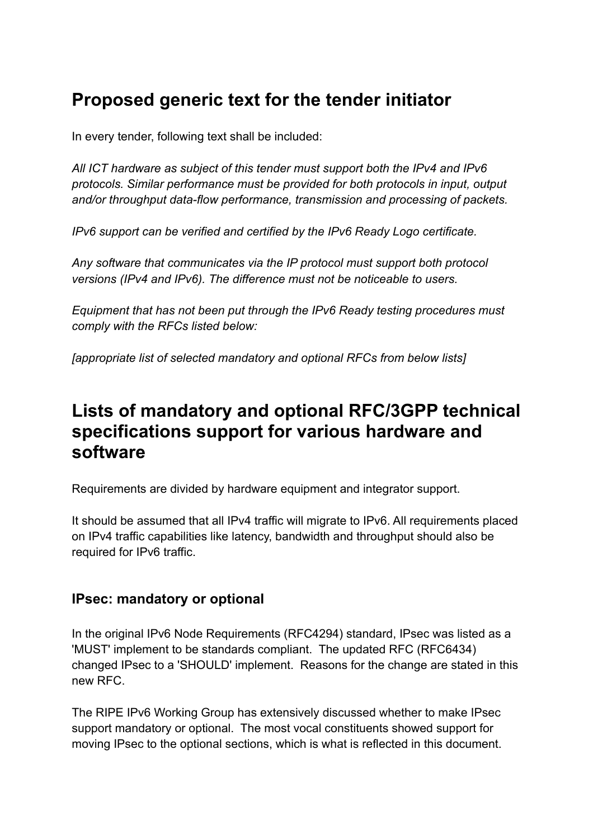# <span id="page-3-2"></span>**Proposed generic text for the tender initiator**

In every tender, following text shall be included:

*All ICT hardware as subject of this tender must support both the IPv4 and IPv6 protocols. Similar performance must be provided for both protocols in input, output and/or throughput data-flow performance, transmission and processing of packets.*

*IPv6 support can be verified and certified by the IPv6 Ready Logo certificate.*

*Any software that communicates via the IP protocol must support both protocol versions (IPv4 and IPv6). The difference must not be noticeable to users.*

*Equipment that has not been put through the IPv6 Ready testing procedures must comply with the RFCs listed below:*

*[appropriate list of selected mandatory and optional RFCs from below lists]*

## <span id="page-3-1"></span>**Lists of mandatory and optional RFC/3GPP technical specifications support for various hardware and software**

Requirements are divided by hardware equipment and integrator support.

It should be assumed that all IPv4 traffic will migrate to IPv6. All requirements placed on IPv4 traffic capabilities like latency, bandwidth and throughput should also be required for IPv6 traffic.

#### <span id="page-3-0"></span>**IPsec: mandatory or optional**

In the original IPv6 Node Requirements (RFC4294) standard, IPsec was listed as a 'MUST' implement to be standards compliant. The updated RFC (RFC6434) changed IPsec to a 'SHOULD' implement. Reasons for the change are stated in this new RFC.

The RIPE IPv6 Working Group has extensively discussed whether to make IPsec support mandatory or optional. The most vocal constituents showed support for moving IPsec to the optional sections, which is what is reflected in this document.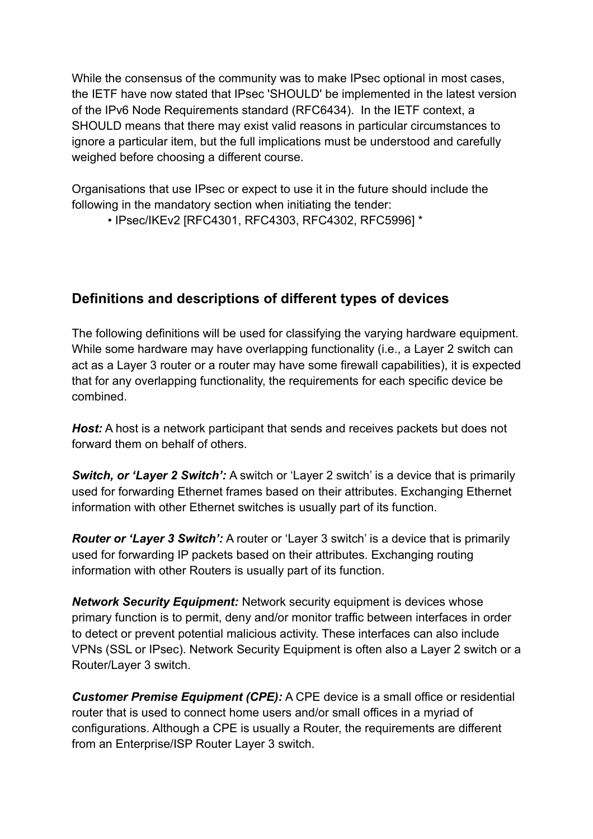While the consensus of the community was to make IPsec optional in most cases, the IETF have now stated that IPsec 'SHOULD' be implemented in the latest version of the IPv6 Node Requirements standard (RFC6434). In the IETF context, a SHOULD means that there may exist valid reasons in particular circumstances to ignore a particular item, but the full implications must be understood and carefully weighed before choosing a different course.

Organisations that use IPsec or expect to use it in the future should include the following in the mandatory section when initiating the tender:

• IPsec/IKEv2 [RFC4301, RFC4303, RFC4302, RFC5996] \*

#### <span id="page-4-0"></span>**Definitions and descriptions of different types of devices**

The following definitions will be used for classifying the varying hardware equipment. While some hardware may have overlapping functionality (i.e., a Layer 2 switch can act as a Layer 3 router or a router may have some firewall capabilities), it is expected that for any overlapping functionality, the requirements for each specific device be combined.

*Host:* A host is a network participant that sends and receives packets but does not forward them on behalf of others.

*Switch, or 'Layer 2 Switch':* A switch or 'Layer 2 switch' is a device that is primarily used for forwarding Ethernet frames based on their attributes. Exchanging Ethernet information with other Ethernet switches is usually part of its function.

*Router or 'Layer 3 Switch':* A router or 'Layer 3 switch' is a device that is primarily used for forwarding IP packets based on their attributes. Exchanging routing information with other Routers is usually part of its function.

*Network Security Equipment:* Network security equipment is devices whose primary function is to permit, deny and/or monitor traffic between interfaces in order to detect or prevent potential malicious activity. These interfaces can also include VPNs (SSL or IPsec). Network Security Equipment is often also a Layer 2 switch or a Router/Layer 3 switch.

*Customer Premise Equipment (CPE):* A CPE device is a small office or residential router that is used to connect home users and/or small offices in a myriad of configurations. Although a CPE is usually a Router, the requirements are different from an Enterprise/ISP Router Layer 3 switch.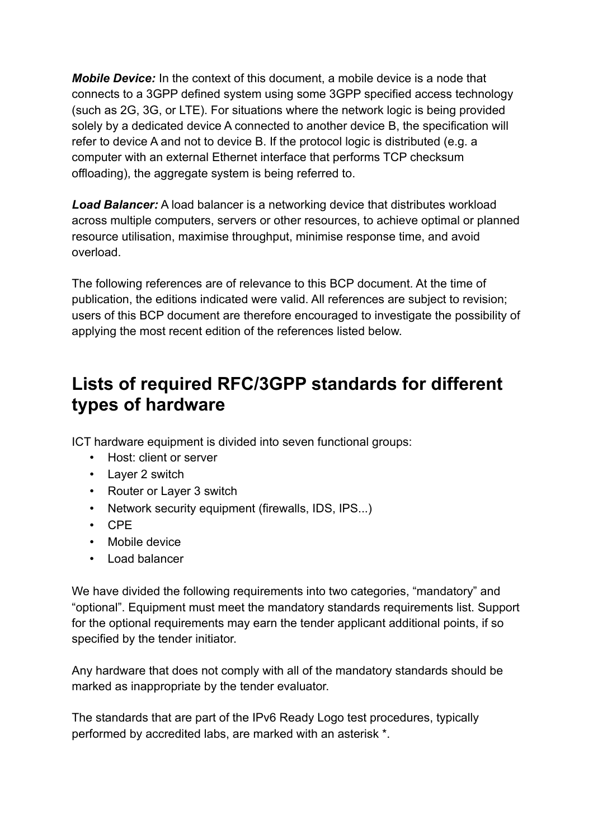*Mobile Device:* In the context of this document, a mobile device is a node that connects to a 3GPP defined system using some 3GPP specified access technology (such as 2G, 3G, or LTE). For situations where the network logic is being provided solely by a dedicated device A connected to another device B, the specification will refer to device A and not to device B. If the protocol logic is distributed (e.g. a computer with an external Ethernet interface that performs TCP checksum offloading), the aggregate system is being referred to.

*Load Balancer:* A load balancer is a networking device that distributes workload across multiple computers, servers or other resources, to achieve optimal or planned resource utilisation, maximise throughput, minimise response time, and avoid overload.

The following references are of relevance to this BCP document. At the time of publication, the editions indicated were valid. All references are subject to revision; users of this BCP document are therefore encouraged to investigate the possibility of applying the most recent edition of the references listed below.

## <span id="page-5-0"></span>**Lists of required RFC/3GPP standards for different types of hardware**

ICT hardware equipment is divided into seven functional groups:

- Host: client or server
- Layer 2 switch
- Router or Layer 3 switch
- Network security equipment (firewalls, IDS, IPS...)
- CPE
- Mobile device
- Load balancer

We have divided the following requirements into two categories, "mandatory" and "optional". Equipment must meet the mandatory standards requirements list. Support for the optional requirements may earn the tender applicant additional points, if so specified by the tender initiator.

Any hardware that does not comply with all of the mandatory standards should be marked as inappropriate by the tender evaluator.

The standards that are part of the IPv6 Ready Logo test procedures, typically performed by accredited labs, are marked with an asterisk \*.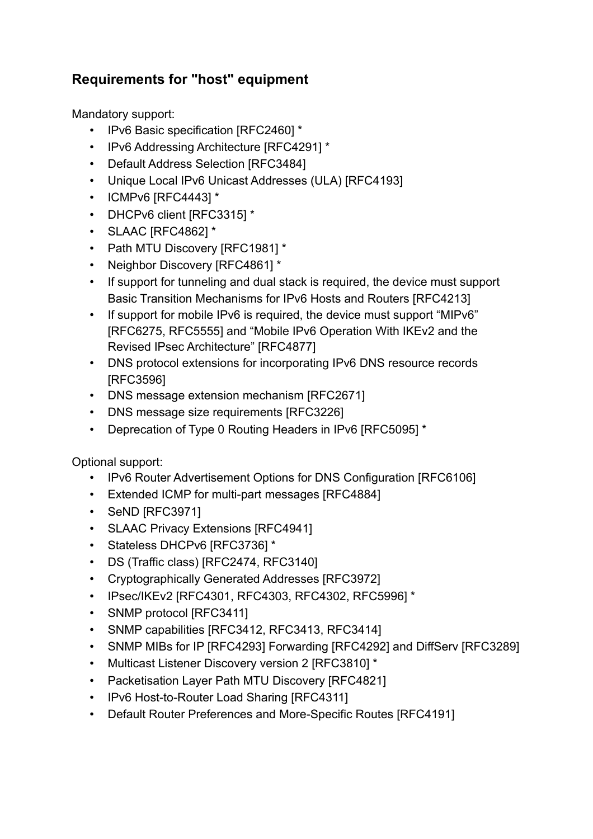### <span id="page-6-0"></span>**Requirements for "host" equipment**

Mandatory support:

- IPv6 Basic specification [RFC2460] \*
- IPv6 Addressing Architecture [RFC4291] \*
- Default Address Selection [RFC3484]
- Unique Local IPv6 Unicast Addresses (ULA) [RFC4193]
- ICMPv6 [RFC4443] \*
- DHCPv6 client [RFC3315] \*
- SLAAC [RFC4862] \*
- Path MTU Discovery [RFC1981] \*
- Neighbor Discovery [RFC4861] \*
- If support for tunneling and dual stack is required, the device must support Basic Transition Mechanisms for IPv6 Hosts and Routers [RFC4213]
- If support for mobile IPv6 is required, the device must support "MIPv6" [RFC6275, RFC5555] and "Mobile IPv6 Operation With IKEv2 and the Revised IPsec Architecture" [RFC4877]
- DNS protocol extensions for incorporating IPv6 DNS resource records [RFC3596]
- DNS message extension mechanism [RFC2671]
- DNS message size requirements [RFC3226]
- Deprecation of Type 0 Routing Headers in IPv6 [RFC5095] \*

- IPv6 Router Advertisement Options for DNS Configuration [RFC6106]
- Extended ICMP for multi-part messages [RFC4884]
- SeND [RFC3971]
- SLAAC Privacy Extensions [RFC4941]
- Stateless DHCPv6 [RFC3736] \*
- DS (Traffic class) [RFC2474, RFC3140]
- Cryptographically Generated Addresses [RFC3972]
- IPsec/IKEv2 [RFC4301, RFC4303, RFC4302, RFC5996] \*
- SNMP protocol [RFC3411]
- SNMP capabilities [RFC3412, RFC3413, RFC3414]
- SNMP MIBs for IP [RFC4293] Forwarding [RFC4292] and DiffServ [RFC3289]
- Multicast Listener Discovery version 2 [RFC3810] \*
- Packetisation Layer Path MTU Discovery [RFC4821]
- IPv6 Host-to-Router Load Sharing [RFC4311]
- Default Router Preferences and More-Specific Routes [RFC4191]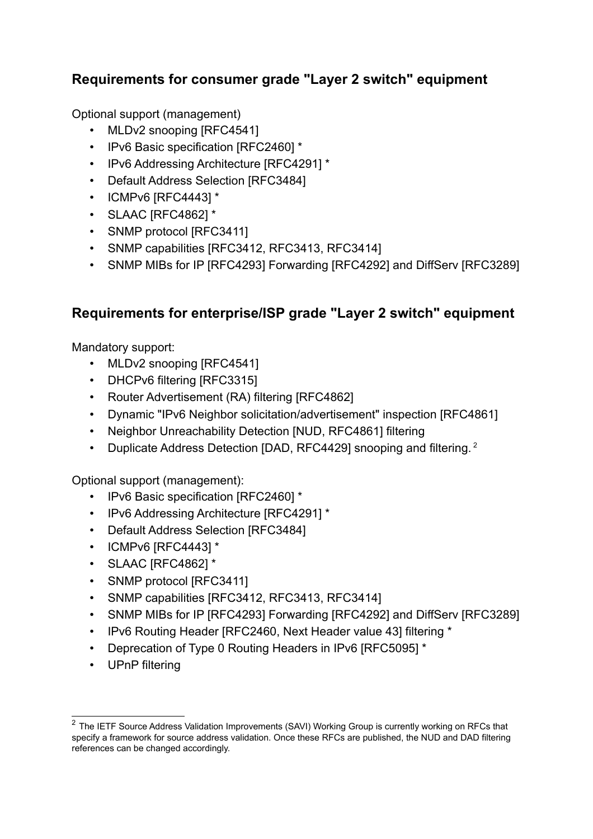#### <span id="page-7-1"></span>**Requirements for consumer grade "Layer 2 switch" equipment**

Optional support (management)

- MLDv2 snooping [RFC4541]
- IPv6 Basic specification [RFC2460] \*
- IPv6 Addressing Architecture [RFC4291] \*
- Default Address Selection [RFC3484]
- ICMPv6 [RFC4443] \*
- SLAAC [RFC4862] \*
- SNMP protocol [RFC3411]
- SNMP capabilities [RFC3412, RFC3413, RFC3414]
- SNMP MIBs for IP [RFC4293] Forwarding [RFC4292] and DiffServ [RFC3289]

### <span id="page-7-0"></span>**Requirements for enterprise/ISP grade "Layer 2 switch" equipment**

Mandatory support:

- MLDv2 snooping [RFC4541]
- DHCPv6 filtering [RFC3315]
- Router Advertisement (RA) filtering [RFC4862]
- Dynamic "IPv6 Neighbor solicitation/advertisement" inspection [RFC4861]
- Neighbor Unreachability Detection [NUD, RFC4861] filtering
- Duplicate Address Detection [DAD, RFC44[2](#page-7-2)9] snooping and filtering. <sup>2</sup>

Optional support (management):

- IPv6 Basic specification [RFC2460] \*
- IPv6 Addressing Architecture [RFC4291] \*
- Default Address Selection [RFC3484]
- ICMPv6 [RFC4443] \*
- SLAAC [RFC4862] \*
- SNMP protocol [RFC3411]
- SNMP capabilities [RFC3412, RFC3413, RFC3414]
- SNMP MIBs for IP [RFC4293] Forwarding [RFC4292] and DiffServ [RFC3289]
- IPv6 Routing Header [RFC2460, Next Header value 43] filtering \*
- Deprecation of Type 0 Routing Headers in IPv6 [RFC5095] \*
- UPnP filtering

<span id="page-7-2"></span><sup>&</sup>lt;sup>2</sup> The IETF Source Address Validation Improvements (SAVI) Working Group is currently working on RFCs that specify a framework for source address validation. Once these RFCs are published, the NUD and DAD filtering references can be changed accordingly.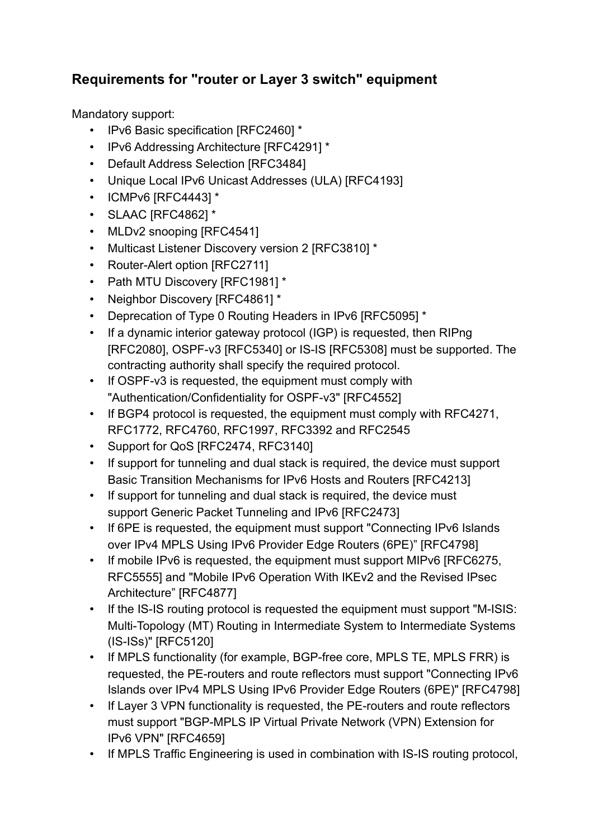### <span id="page-8-0"></span>**Requirements for "router or Layer 3 switch" equipment**

Mandatory support:

- IPv6 Basic specification [RFC2460] \*
- IPv6 Addressing Architecture [RFC4291] \*
- Default Address Selection [RFC3484]
- Unique Local IPv6 Unicast Addresses (ULA) [RFC4193]
- ICMPv6 [RFC4443] \*
- SLAAC [RFC4862] \*
- MLDv2 snooping [RFC4541]
- Multicast Listener Discovery version 2 [RFC3810] \*
- Router-Alert option [RFC2711]
- Path MTU Discovery [RFC1981] \*
- Neighbor Discovery [RFC4861] \*
- Deprecation of Type 0 Routing Headers in IPv6 [RFC5095] \*
- If a dynamic interior gateway protocol (IGP) is requested, then RIPng [RFC2080], OSPF-v3 [RFC5340] or IS-IS [RFC5308] must be supported. The contracting authority shall specify the required protocol.
- If OSPF-v3 is requested, the equipment must comply with "Authentication/Confidentiality for OSPF-v3" [RFC4552]
- If BGP4 protocol is requested, the equipment must comply with RFC4271, RFC1772, RFC4760, RFC1997, RFC3392 and RFC2545
- Support for QoS [RFC2474, RFC3140]
- If support for tunneling and dual stack is required, the device must support Basic Transition Mechanisms for IPv6 Hosts and Routers [RFC4213]
- If support for tunneling and dual stack is required, the device must support Generic Packet Tunneling and IPv6 [RFC2473]
- If 6PE is requested, the equipment must support "Connecting IPv6 Islands over IPv4 MPLS Using IPv6 Provider Edge Routers (6PE)" [RFC4798]
- If mobile IPv6 is requested, the equipment must support MIPv6 [RFC6275, RFC5555] and "Mobile IPv6 Operation With IKEv2 and the Revised IPsec Architecture" [RFC4877]
- If the IS-IS routing protocol is requested the equipment must support "M-ISIS: Multi-Topology (MT) Routing in Intermediate System to Intermediate Systems (IS-ISs)" [RFC5120]
- If MPLS functionality (for example, BGP-free core, MPLS TE, MPLS FRR) is requested, the PE-routers and route reflectors must support "Connecting IPv6 Islands over IPv4 MPLS Using IPv6 Provider Edge Routers (6PE)" [RFC4798]
- If Layer 3 VPN functionality is requested, the PE-routers and route reflectors must support "BGP-MPLS IP Virtual Private Network (VPN) Extension for IPv6 VPN" [RFC4659]
- If MPLS Traffic Engineering is used in combination with IS-IS routing protocol,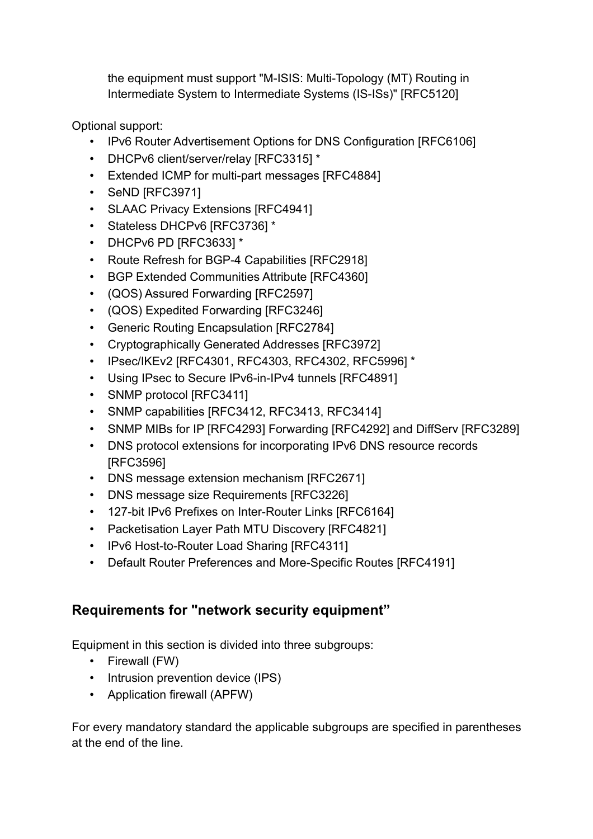the equipment must support "M-ISIS: Multi-Topology (MT) Routing in Intermediate System to Intermediate Systems (IS-ISs)" [RFC5120]

Optional support:

- IPv6 Router Advertisement Options for DNS Configuration [RFC6106]
- DHCPv6 client/server/relay [RFC3315] \*
- Extended ICMP for multi-part messages [RFC4884]
- SeND [RFC3971]
- SLAAC Privacy Extensions [RFC4941]
- Stateless DHCPv6 [RFC3736] \*
- DHCPv6 PD [RFC3633] \*
- Route Refresh for BGP-4 Capabilities [RFC2918]
- BGP Extended Communities Attribute [RFC4360]
- (QOS) Assured Forwarding [RFC2597]
- (QOS) Expedited Forwarding [RFC3246]
- Generic Routing Encapsulation [RFC2784]
- Cryptographically Generated Addresses [RFC3972]
- IPsec/IKEv2 [RFC4301, RFC4303, RFC4302, RFC5996] \*
- Using IPsec to Secure IPv6-in-IPv4 tunnels [RFC4891]
- SNMP protocol [RFC3411]
- SNMP capabilities [RFC3412, RFC3413, RFC3414]
- SNMP MIBs for IP [RFC4293] Forwarding [RFC4292] and DiffServ [RFC3289]
- DNS protocol extensions for incorporating IPv6 DNS resource records [RFC3596]
- DNS message extension mechanism [RFC2671]
- DNS message size Requirements [RFC3226]
- 127-bit IPv6 Prefixes on Inter-Router Links [RFC6164]
- Packetisation Layer Path MTU Discovery [RFC4821]
- IPv6 Host-to-Router Load Sharing [RFC4311]
- Default Router Preferences and More-Specific Routes [RFC4191]

#### <span id="page-9-0"></span>**Requirements for "network security equipment"**

Equipment in this section is divided into three subgroups:

- Firewall (FW)
- Intrusion prevention device (IPS)
- Application firewall (APFW)

For every mandatory standard the applicable subgroups are specified in parentheses at the end of the line.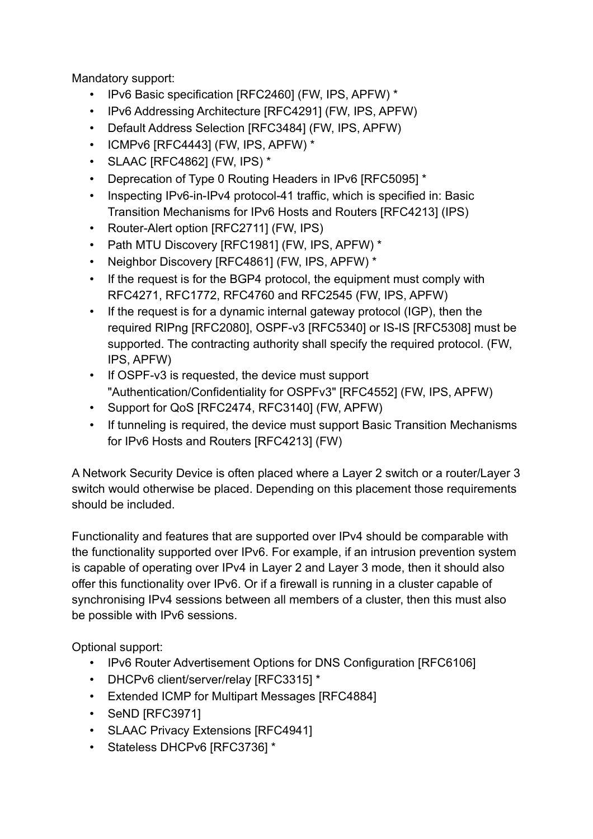Mandatory support:

- IPv6 Basic specification [RFC2460] (FW, IPS, APFW) \*
- IPv6 Addressing Architecture [RFC4291] (FW, IPS, APFW)
- Default Address Selection [RFC3484] (FW, IPS, APFW)
- ICMPv6 [RFC4443] (FW, IPS, APFW) \*
- SLAAC [RFC4862] (FW, IPS) \*
- Deprecation of Type 0 Routing Headers in IPv6 [RFC5095] \*
- Inspecting IPv6-in-IPv4 protocol-41 traffic, which is specified in: Basic Transition Mechanisms for IPv6 Hosts and Routers [RFC4213] (IPS)
- Router-Alert option [RFC2711] (FW, IPS)
- Path MTU Discovery [RFC1981] (FW, IPS, APFW) \*
- Neighbor Discovery [RFC4861] (FW, IPS, APFW) \*
- If the request is for the BGP4 protocol, the equipment must comply with RFC4271, RFC1772, RFC4760 and RFC2545 (FW, IPS, APFW)
- If the request is for a dynamic internal gateway protocol (IGP), then the required RIPng [RFC2080], OSPF-v3 [RFC5340] or IS-IS [RFC5308] must be supported. The contracting authority shall specify the required protocol. (FW, IPS, APFW)
- If OSPF-v3 is requested, the device must support "Authentication/Confidentiality for OSPFv3" [RFC4552] (FW, IPS, APFW)
- Support for QoS [RFC2474, RFC3140] (FW, APFW)
- If tunneling is required, the device must support Basic Transition Mechanisms for IPv6 Hosts and Routers [RFC4213] (FW)

A Network Security Device is often placed where a Layer 2 switch or a router/Layer 3 switch would otherwise be placed. Depending on this placement those requirements should be included.

Functionality and features that are supported over IPv4 should be comparable with the functionality supported over IPv6. For example, if an intrusion prevention system is capable of operating over IPv4 in Layer 2 and Layer 3 mode, then it should also offer this functionality over IPv6. Or if a firewall is running in a cluster capable of synchronising IPv4 sessions between all members of a cluster, then this must also be possible with IPv6 sessions.

- IPv6 Router Advertisement Options for DNS Configuration [RFC6106]
- DHCPv6 client/server/relay [RFC3315] \*
- Extended ICMP for Multipart Messages [RFC4884]
- SeND [RFC3971]
- SLAAC Privacy Extensions [RFC4941]
- Stateless DHCPv6 [RFC3736] \*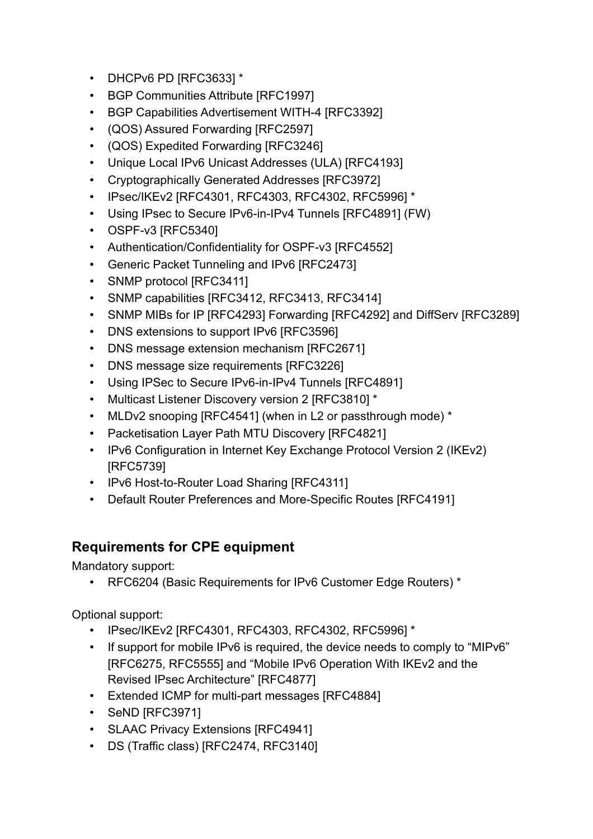- DHCPv6 PD [RFC3633] \*
- BGP Communities Attribute [RFC1997]
- BGP Capabilities Advertisement WITH-4 [RFC3392]
- (QOS) Assured Forwarding [RFC2597]
- (QOS) Expedited Forwarding [RFC3246]
- Unique Local IPv6 Unicast Addresses (ULA) [RFC4193]
- Cryptographically Generated Addresses [RFC3972]
- IPsec/IKEv2 [RFC4301, RFC4303, RFC4302, RFC5996] \*
- Using IPsec to Secure IPv6-in-IPv4 Tunnels [RFC4891] (FW)
- OSPF-v3 [RFC5340]
- Authentication/Confidentiality for OSPF-v3 [RFC4552]
- Generic Packet Tunneling and IPv6 [RFC2473]
- SNMP protocol [RFC3411]
- SNMP capabilities [RFC3412, RFC3413, RFC3414]
- SNMP MIBs for IP [RFC4293] Forwarding [RFC4292] and DiffServ [RFC3289]
- DNS extensions to support IPv6 [RFC3596]
- DNS message extension mechanism [RFC2671]
- DNS message size requirements [RFC3226]
- Using IPSec to Secure IPv6-in-IPv4 Tunnels [RFC4891]
- Multicast Listener Discovery version 2 [RFC3810] \*
- MLDv2 snooping [RFC4541] (when in L2 or passthrough mode) \*
- Packetisation Layer Path MTU Discovery [RFC4821]
- IPv6 Configuration in Internet Key Exchange Protocol Version 2 (IKEv2) [RFC5739]
- IPv6 Host-to-Router Load Sharing [RFC4311]
- Default Router Preferences and More-Specific Routes [RFC4191]

#### <span id="page-11-0"></span>**Requirements for CPE equipment**

Mandatory support:

• RFC6204 (Basic Requirements for IPv6 Customer Edge Routers) \*

- IPsec/IKEv2 [RFC4301, RFC4303, RFC4302, RFC5996] \*
- If support for mobile IPv6 is required, the device needs to comply to "MIPv6" [RFC6275, RFC5555] and "Mobile IPv6 Operation With IKEv2 and the Revised IPsec Architecture" [RFC4877]
- Extended ICMP for multi-part messages [RFC4884]
- SeND [RFC3971]
- SLAAC Privacy Extensions [RFC4941]
- DS (Traffic class) [RFC2474, RFC3140]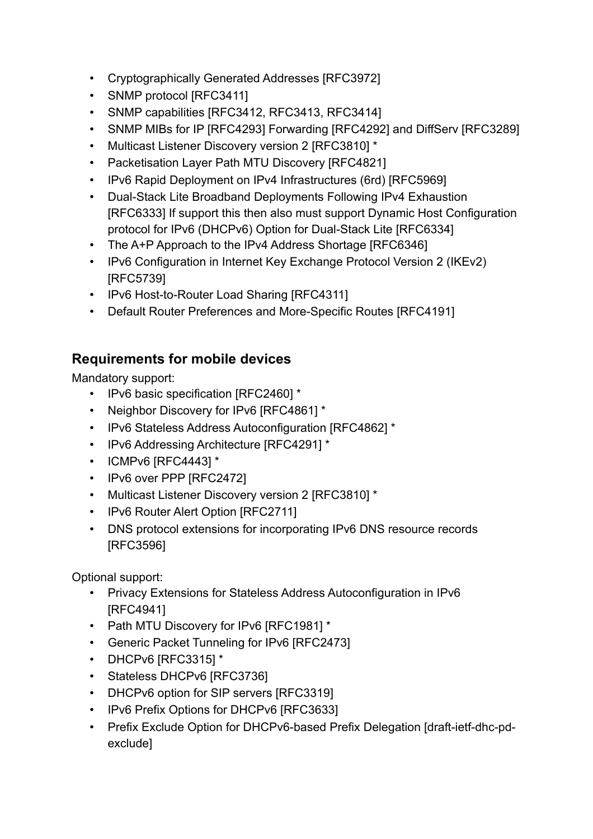- Cryptographically Generated Addresses [RFC3972]
- SNMP protocol [RFC3411]
- SNMP capabilities [RFC3412, RFC3413, RFC3414]
- SNMP MIBs for IP [RFC4293] Forwarding [RFC4292] and DiffServ [RFC3289]
- Multicast Listener Discovery version 2 [RFC3810] \*
- Packetisation Layer Path MTU Discovery [RFC4821]
- IPv6 Rapid Deployment on IPv4 Infrastructures (6rd) IRFC59691
- Dual-Stack Lite Broadband Deployments Following IPv4 Exhaustion [RFC6333] If support this then also must support Dynamic Host Configuration protocol for IPv6 (DHCPv6) Option for Dual-Stack Lite [RFC6334]
- The A+P Approach to the IPv4 Address Shortage [RFC6346]
- IPv6 Configuration in Internet Key Exchange Protocol Version 2 (IKEv2) [RFC5739]
- IPv6 Host-to-Router Load Sharing [RFC4311]
- Default Router Preferences and More-Specific Routes [RFC4191]

#### <span id="page-12-0"></span>**Requirements for mobile devices**

Mandatory support:

- IPv6 basic specification [RFC2460] \*
- Neighbor Discovery for IPv6 [RFC4861] \*
- IPv6 Stateless Address Autoconfiguration [RFC4862] \*
- IPv6 Addressing Architecture [RFC4291] \*
- ICMPv6 [RFC4443] \*
- IPv6 over PPP [RFC2472]
- Multicast Listener Discovery version 2 [RFC3810] \*
- IPv6 Router Alert Option [RFC2711]
- DNS protocol extensions for incorporating IPv6 DNS resource records [RFC3596]

- Privacy Extensions for Stateless Address Autoconfiguration in IPv6 [RFC4941]
- Path MTU Discovery for IPv6 [RFC1981] \*
- Generic Packet Tunneling for IPv6 [RFC2473]
- DHCPv6 [RFC3315] \*
- Stateless DHCPv6 [RFC3736]
- DHCPv6 option for SIP servers [RFC3319]
- IPv6 Prefix Options for DHCPv6 [RFC3633]
- Prefix Exclude Option for DHCPv6-based Prefix Delegation [draft-ietf-dhc-pdexclude]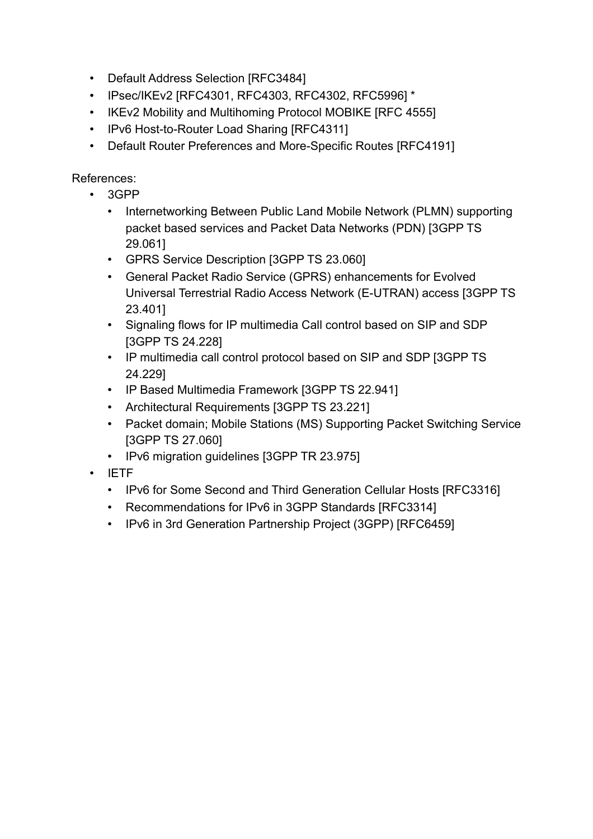- Default Address Selection [RFC3484]
- IPsec/IKEv2 [RFC4301, RFC4303, RFC4302, RFC5996] \*
- IKEv2 Mobility and Multihoming Protocol MOBIKE [RFC 4555]
- IPv6 Host-to-Router Load Sharing [RFC4311]
- Default Router Preferences and More-Specific Routes [RFC4191]

References:

- 3GPP
	- Internetworking Between Public Land Mobile Network (PLMN) supporting packet based services and Packet Data Networks (PDN) [3GPP TS 29.061]
	- GPRS Service Description [3GPP TS 23.060]
	- General Packet Radio Service (GPRS) enhancements for Evolved Universal Terrestrial Radio Access Network (E-UTRAN) access [3GPP TS 23.401]
	- Signaling flows for IP multimedia Call control based on SIP and SDP [3GPP TS 24.228]
	- IP multimedia call control protocol based on SIP and SDP [3GPP TS 24.229]
	- IP Based Multimedia Framework [3GPP TS 22.941]
	- Architectural Requirements [3GPP TS 23.221]
	- Packet domain; Mobile Stations (MS) Supporting Packet Switching Service [3GPP TS 27.060]
	- IPv6 migration guidelines [3GPP TR 23.975]
- IETF
	- IPv6 for Some Second and Third Generation Cellular Hosts [RFC3316]
	- Recommendations for IPv6 in 3GPP Standards [RFC3314]
	- IPv6 in 3rd Generation Partnership Project (3GPP) [RFC6459]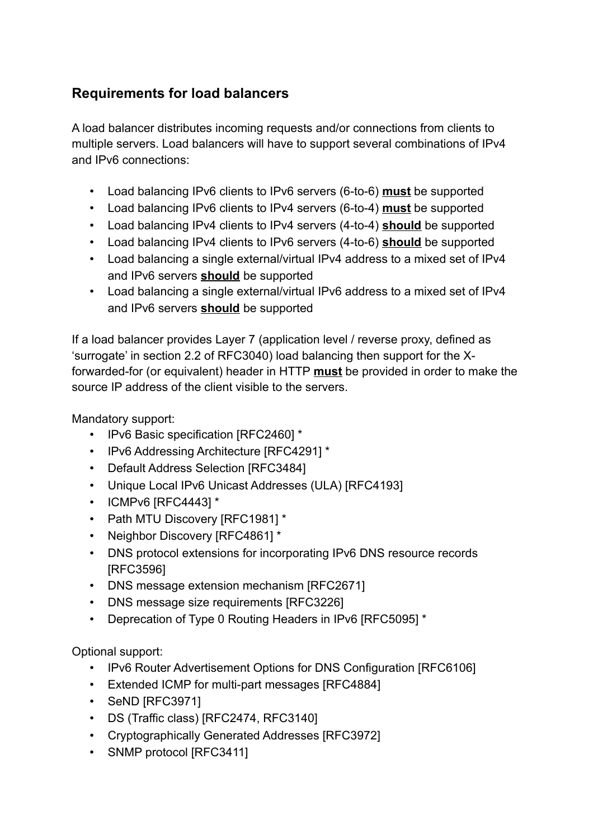### <span id="page-14-0"></span>**Requirements for load balancers**

A load balancer distributes incoming requests and/or connections from clients to multiple servers. Load balancers will have to support several combinations of IPv4 and IPv6 connections:

- Load balancing IPv6 clients to IPv6 servers (6-to-6) **must** be supported
- Load balancing IPv6 clients to IPv4 servers (6-to-4) **must** be supported
- Load balancing IPv4 clients to IPv4 servers (4-to-4) **should** be supported
- Load balancing IPv4 clients to IPv6 servers (4-to-6) **should** be supported
- Load balancing a single external/virtual IPv4 address to a mixed set of IPv4 and IPv6 servers **should** be supported
- Load balancing a single external/virtual IPv6 address to a mixed set of IPv4 and IPv6 servers **should** be supported

If a load balancer provides Layer 7 (application level / reverse proxy, defined as 'surrogate' in section 2.2 of RFC3040) load balancing then support for the Xforwarded-for (or equivalent) header in HTTP **must** be provided in order to make the source IP address of the client visible to the servers.

Mandatory support:

- IPv6 Basic specification [RFC2460] \*
- IPv6 Addressing Architecture [RFC4291] \*
- Default Address Selection [RFC3484]
- Unique Local IPv6 Unicast Addresses (ULA) [RFC4193]
- ICMPv6 [RFC4443] \*
- Path MTU Discovery [RFC1981] \*
- Neighbor Discovery [RFC4861] \*
- DNS protocol extensions for incorporating IPv6 DNS resource records [RFC3596]
- DNS message extension mechanism [RFC2671]
- DNS message size requirements [RFC3226]
- Deprecation of Type 0 Routing Headers in IPv6 [RFC5095] \*

- IPv6 Router Advertisement Options for DNS Configuration [RFC6106]
- Extended ICMP for multi-part messages [RFC4884]
- SeND [RFC3971]
- DS (Traffic class) [RFC2474, RFC3140]
- Cryptographically Generated Addresses [RFC3972]
- SNMP protocol [RFC3411]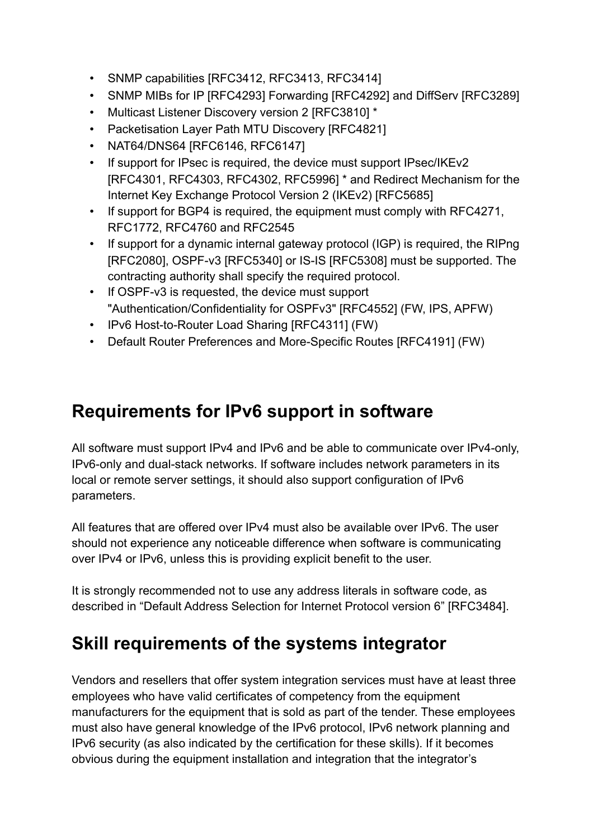- SNMP capabilities [RFC3412, RFC3413, RFC3414]
- SNMP MIBs for IP [RFC4293] Forwarding [RFC4292] and DiffServ [RFC3289]
- Multicast Listener Discovery version 2 [RFC3810] \*
- Packetisation Layer Path MTU Discovery [RFC4821]
- NAT64/DNS64 [RFC6146, RFC6147]
- If support for IPsec is required, the device must support IPsec/IKEv2 [RFC4301, RFC4303, RFC4302, RFC5996] \* and Redirect Mechanism for the Internet Key Exchange Protocol Version 2 (IKEv2) [RFC5685]
- If support for BGP4 is required, the equipment must comply with RFC4271, RFC1772, RFC4760 and RFC2545
- If support for a dynamic internal gateway protocol (IGP) is required, the RIPng [RFC2080], OSPF-v3 [RFC5340] or IS-IS [RFC5308] must be supported. The contracting authority shall specify the required protocol.
- If OSPF-v3 is requested, the device must support "Authentication/Confidentiality for OSPFv3" [RFC4552] (FW, IPS, APFW)
- IPv6 Host-to-Router Load Sharing [RFC4311] (FW)
- Default Router Preferences and More-Specific Routes [RFC4191] (FW)

## <span id="page-15-0"></span>**Requirements for IPv6 support in software**

All software must support IPv4 and IPv6 and be able to communicate over IPv4-only, IPv6-only and dual-stack networks. If software includes network parameters in its local or remote server settings, it should also support configuration of IPv6 parameters.

All features that are offered over IPv4 must also be available over IPv6. The user should not experience any noticeable difference when software is communicating over IPv4 or IPv6, unless this is providing explicit benefit to the user.

It is strongly recommended not to use any address literals in software code, as described in "Default Address Selection for Internet Protocol version 6" [RFC3484].

# <span id="page-15-1"></span>**Skill requirements of the systems integrator**

Vendors and resellers that offer system integration services must have at least three employees who have valid certificates of competency from the equipment manufacturers for the equipment that is sold as part of the tender. These employees must also have general knowledge of the IPv6 protocol, IPv6 network planning and IPv6 security (as also indicated by the certification for these skills). If it becomes obvious during the equipment installation and integration that the integrator's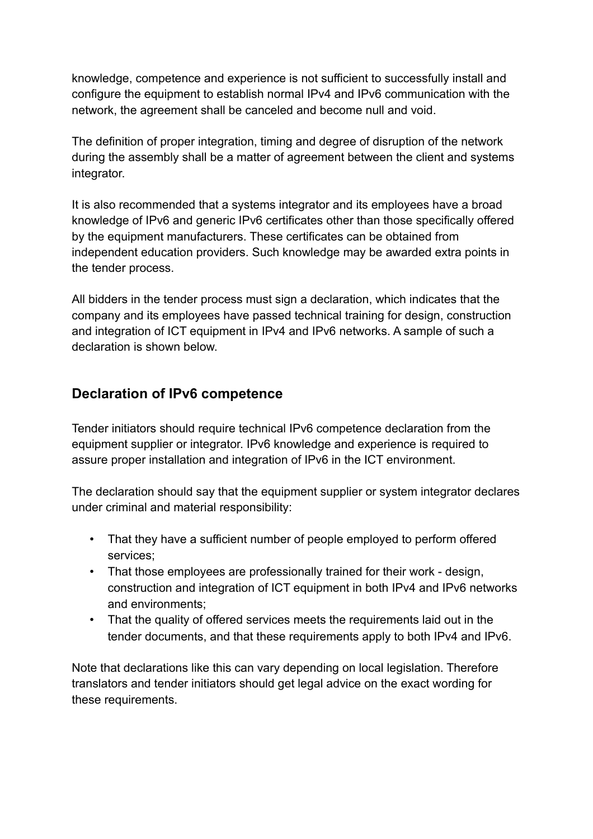knowledge, competence and experience is not sufficient to successfully install and configure the equipment to establish normal IPv4 and IPv6 communication with the network, the agreement shall be canceled and become null and void.

The definition of proper integration, timing and degree of disruption of the network during the assembly shall be a matter of agreement between the client and systems integrator.

It is also recommended that a systems integrator and its employees have a broad knowledge of IPv6 and generic IPv6 certificates other than those specifically offered by the equipment manufacturers. These certificates can be obtained from independent education providers. Such knowledge may be awarded extra points in the tender process.

All bidders in the tender process must sign a declaration, which indicates that the company and its employees have passed technical training for design, construction and integration of ICT equipment in IPv4 and IPv6 networks. A sample of such a declaration is shown below.

#### <span id="page-16-0"></span>**Declaration of IPv6 competence**

Tender initiators should require technical IPv6 competence declaration from the equipment supplier or integrator. IPv6 knowledge and experience is required to assure proper installation and integration of IPv6 in the ICT environment.

The declaration should say that the equipment supplier or system integrator declares under criminal and material responsibility:

- That they have a sufficient number of people employed to perform offered services;
- That those employees are professionally trained for their work design, construction and integration of ICT equipment in both IPv4 and IPv6 networks and environments;
- That the quality of offered services meets the requirements laid out in the tender documents, and that these requirements apply to both IPv4 and IPv6.

Note that declarations like this can vary depending on local legislation. Therefore translators and tender initiators should get legal advice on the exact wording for these requirements.